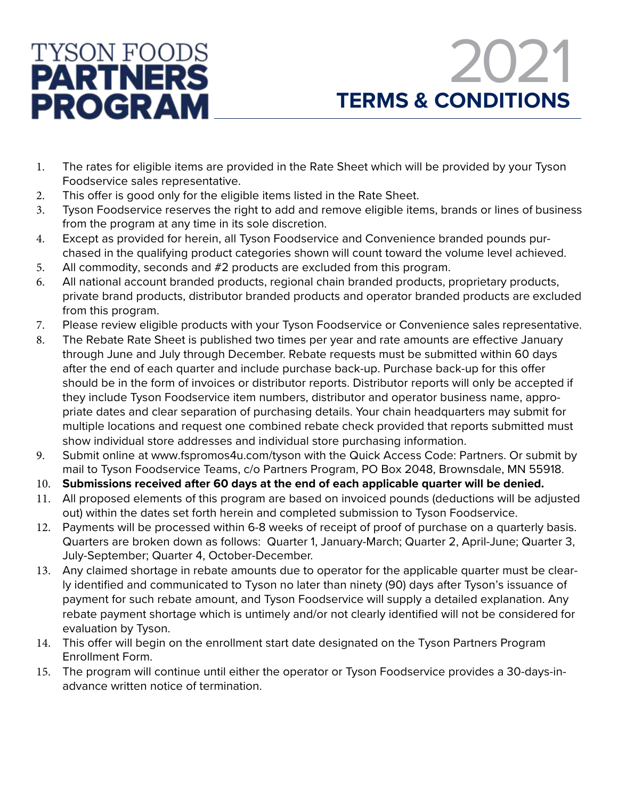



- 1. The rates for eligible items are provided in the Rate Sheet which will be provided by your Tyson Foodservice sales representative.
- 2. This offer is good only for the eligible items listed in the Rate Sheet.
- 3. Tyson Foodservice reserves the right to add and remove eligible items, brands or lines of business from the program at any time in its sole discretion.
- 4. Except as provided for herein, all Tyson Foodservice and Convenience branded pounds purchased in the qualifying product categories shown will count toward the volume level achieved.
- 5. All commodity, seconds and #2 products are excluded from this program.
- 6. All national account branded products, regional chain branded products, proprietary products, private brand products, distributor branded products and operator branded products are excluded from this program.
- 7. Please review eligible products with your Tyson Foodservice or Convenience sales representative.
- 8. The Rebate Rate Sheet is published two times per year and rate amounts are effective January through June and July through December. Rebate requests must be submitted within 60 days after the end of each quarter and include purchase back-up. Purchase back-up for this offer should be in the form of invoices or distributor reports. Distributor reports will only be accepted if they include Tyson Foodservice item numbers, distributor and operator business name, appropriate dates and clear separation of purchasing details. Your chain headquarters may submit for multiple locations and request one combined rebate check provided that reports submitted must show individual store addresses and individual store purchasing information.
- 9. Submit online at www.fspromos4u.com/tyson with the Quick Access Code: Partners. Or submit by mail to Tyson Foodservice Teams, c/o Partners Program, PO Box 2048, Brownsdale, MN 55918.
- 10. **Submissions received after 60 days at the end of each applicable quarter will be denied.**
- 11. All proposed elements of this program are based on invoiced pounds (deductions will be adjusted out) within the dates set forth herein and completed submission to Tyson Foodservice.
- 12. Payments will be processed within 6-8 weeks of receipt of proof of purchase on a quarterly basis. Quarters are broken down as follows: Quarter 1, January-March; Quarter 2, April-June; Quarter 3, July-September; Quarter 4, October-December.
- 13. Any claimed shortage in rebate amounts due to operator for the applicable quarter must be clearly identified and communicated to Tyson no later than ninety (90) days after Tyson's issuance of payment for such rebate amount, and Tyson Foodservice will supply a detailed explanation. Any rebate payment shortage which is untimely and/or not clearly identified will not be considered for evaluation by Tyson.
- 14. This offer will begin on the enrollment start date designated on the Tyson Partners Program Enrollment Form.
- 15. The program will continue until either the operator or Tyson Foodservice provides a 30-days-inadvance written notice of termination.